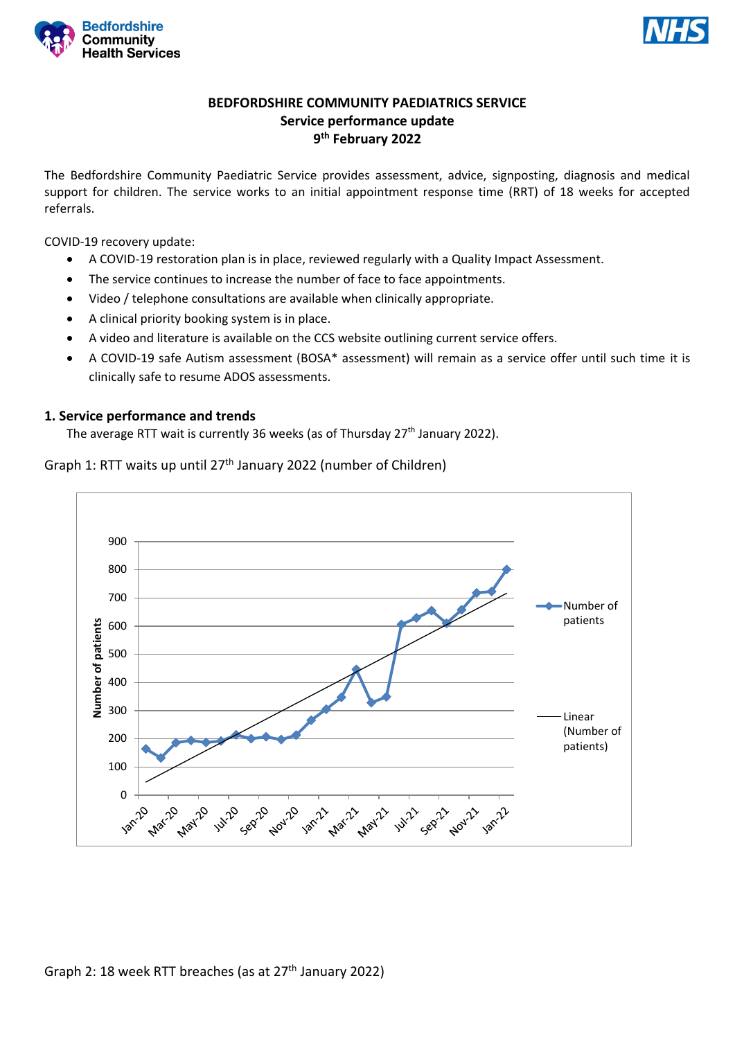



# **BEDFORDSHIRE COMMUNITY PAEDIATRICS SERVICE Service performance update 9 th February 2022**

The Bedfordshire Community Paediatric Service provides assessment, advice, signposting, diagnosis and medical support for children. The service works to an initial appointment response time (RRT) of 18 weeks for accepted referrals.

COVID-19 recovery update:

- A COVID-19 restoration plan is in place, reviewed regularly with a Quality Impact Assessment.
- The service continues to increase the number of face to face appointments.
- Video / telephone consultations are available when clinically appropriate.
- A clinical priority booking system is in place.
- A video and literature is available on the CCS website outlining current service offers.
- A COVID-19 safe Autism assessment (BOSA\* assessment) will remain as a service offer until such time it is clinically safe to resume ADOS assessments.

### **1. Service performance and trends**

The average RTT wait is currently 36 weeks (as of Thursday 27<sup>th</sup> January 2022).

Graph 1: RTT waits up until 27<sup>th</sup> January 2022 (number of Children)

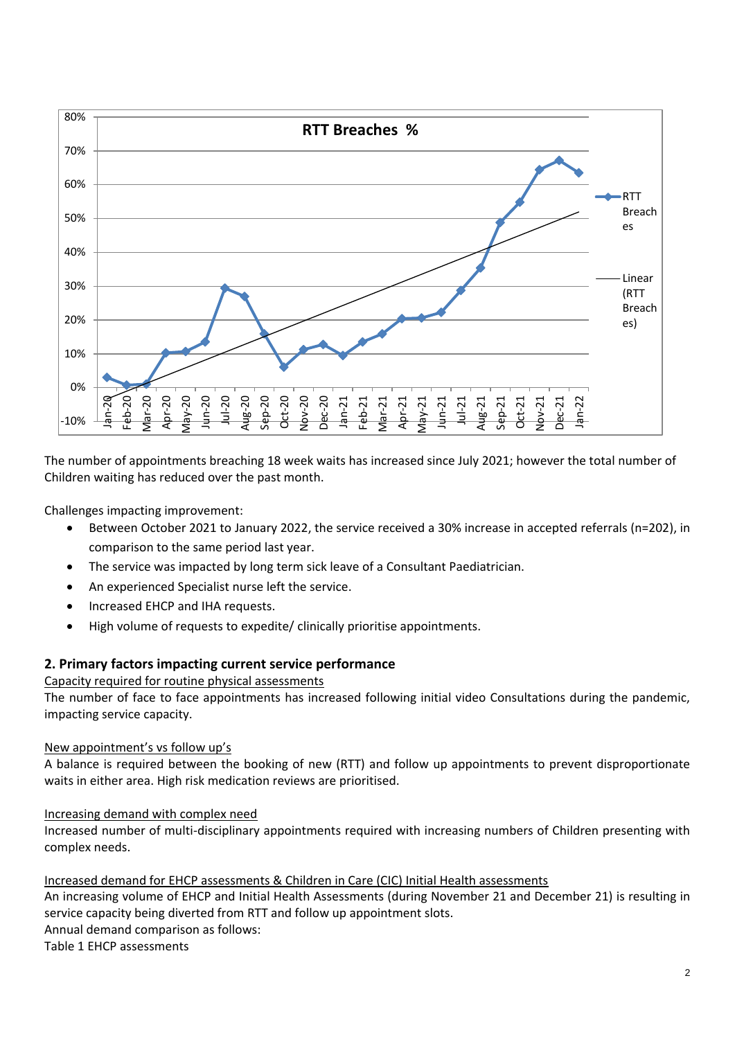

The number of appointments breaching 18 week waits has increased since July 2021; however the total number of Children waiting has reduced over the past month.

Challenges impacting improvement:

- Between October 2021 to January 2022, the service received a 30% increase in accepted referrals (n=202), in comparison to the same period last year.
- The service was impacted by long term sick leave of a Consultant Paediatrician.
- An experienced Specialist nurse left the service.
- Increased EHCP and IHA requests.
- High volume of requests to expedite/ clinically prioritise appointments.

### **2. Primary factors impacting current service performance**

## Capacity required for routine physical assessments

The number of face to face appointments has increased following initial video Consultations during the pandemic, impacting service capacity.

### New appointment's vs follow up's

A balance is required between the booking of new (RTT) and follow up appointments to prevent disproportionate waits in either area. High risk medication reviews are prioritised.

### Increasing demand with complex need

Increased number of multi-disciplinary appointments required with increasing numbers of Children presenting with complex needs.

### Increased demand for EHCP assessments & Children in Care (CIC) Initial Health assessments

An increasing volume of EHCP and Initial Health Assessments (during November 21 and December 21) is resulting in service capacity being diverted from RTT and follow up appointment slots. Annual demand comparison as follows: Table 1 EHCP assessments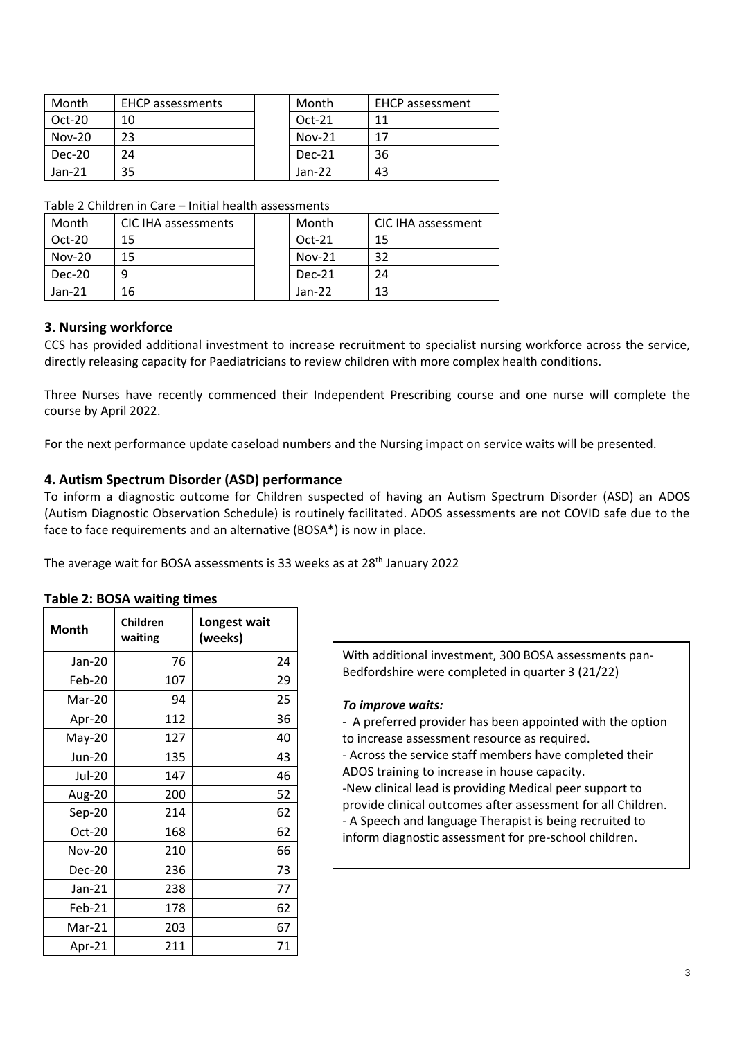| Month    | <b>EHCP</b> assessments | Month    | <b>EHCP</b> assessment |
|----------|-------------------------|----------|------------------------|
| $Oct-20$ | 10                      | $Oct-21$ | 11                     |
| $Nov-20$ | 23                      | $Nov-21$ | 17                     |
| Dec-20   | 24                      | Dec-21   | 36                     |
| $Jan-21$ | 35                      | $Jan-22$ | 43                     |

| Month    | CIC IHA assessments | Month    | CIC IHA assessment |
|----------|---------------------|----------|--------------------|
| $Oct-20$ | 15                  | $Oct-21$ | 15                 |
| $Nov-20$ | 15                  | $Nov-21$ | 32                 |
| Dec-20   |                     | Dec-21   | 24                 |
| $Jan-21$ | 16                  | $Jan-22$ | 13                 |

Table 2 Children in Care – Initial health assessments

### **3. Nursing workforce**

CCS has provided additional investment to increase recruitment to specialist nursing workforce across the service, directly releasing capacity for Paediatricians to review children with more complex health conditions.

Three Nurses have recently commenced their Independent Prescribing course and one nurse will complete the course by April 2022.

For the next performance update caseload numbers and the Nursing impact on service waits will be presented.

### **4. Autism Spectrum Disorder (ASD) performance**

To inform a diagnostic outcome for Children suspected of having an Autism Spectrum Disorder (ASD) an ADOS (Autism Diagnostic Observation Schedule) is routinely facilitated. ADOS assessments are not COVID safe due to the face to face requirements and an alternative (BOSA\*) is now in place.

The average wait for BOSA assessments is 33 weeks as at 28<sup>th</sup> January 2022

|  |  |  | <b>Table 2: BOSA waiting times</b> |  |
|--|--|--|------------------------------------|--|
|--|--|--|------------------------------------|--|

| Month         | Children<br>waiting | Longest wait<br>(weeks) |
|---------------|---------------------|-------------------------|
| Jan-20        | 76                  | 24                      |
| Feb-20        | 107                 | 29                      |
| Mar-20        | 94                  | 25                      |
| Apr-20        | 112                 | 36                      |
| May-20        | 127                 | 40                      |
| Jun-20        | 135                 | 43                      |
| Jul-20        | 147                 | 46                      |
| Aug-20        | 200                 | 52                      |
| Sep-20        | 214                 | 62                      |
| Oct-20        | 168                 | 62                      |
| <b>Nov-20</b> | 210                 | 66                      |
| Dec-20        | 236                 | 73                      |
| $Jan-21$      | 238                 | 77                      |
| Feb-21        | 178                 | 62                      |
| Mar-21        | 203                 | 67                      |
| Apr-21        | 211                 | 71                      |

With additional investment, 300 BOSA assessments pan-Bedfordshire were completed in quarter 3 (21/22)

### *To improve waits:*

- A preferred provider has been appointed with the option to increase assessment resource as required.

- Across the service staff members have completed their ADOS training to increase in house capacity.

-New clinical lead is providing Medical peer support to provide clinical outcomes after assessment for all Children. - A Speech and language Therapist is being recruited to inform diagnostic assessment for pre-school children.